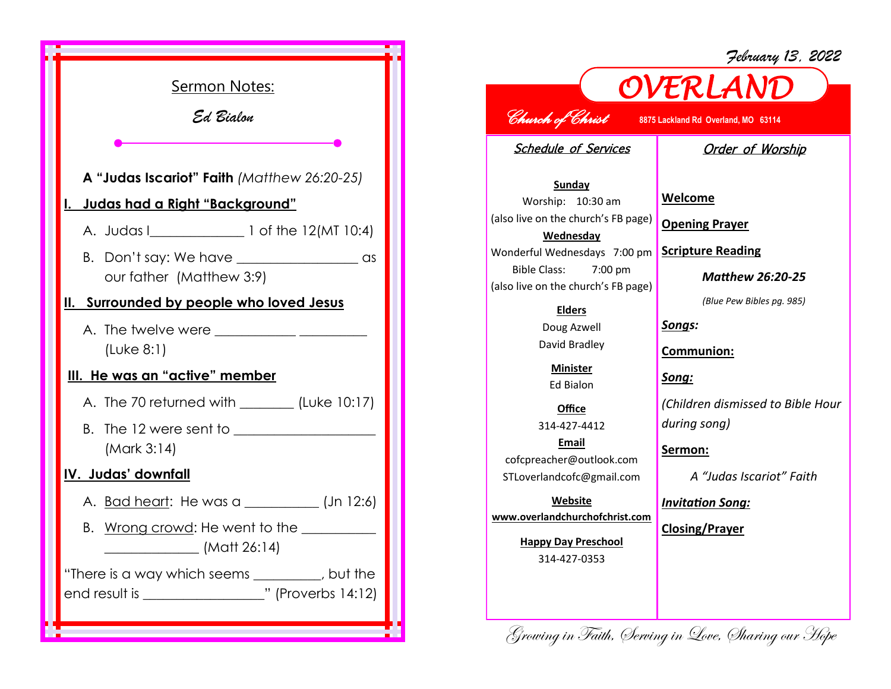

## *OVERLAND Church of Christ* **8875 Lackland Rd Overland, MO 63114**

Schedule of Services

## Order of Worship

*February 13, 2022*

**Sunday** Worship: 10:30 am (also live on the church's FB page) **Wednesday** Wonderful Wednesdays 7:00 pm Bible Class: 7:00 pm (also live on the church's FB page)

> **Elders** Doug Azwell

David Bradley **Minister**

Ed Bialon

**Office** 314-427-4412 **Email** cofcpreacher@outlook.com STLoverlandcofc@gmail.com

**Website www.overlandchurchofchrist.com**

> **Happy Day Preschool** 314-427-0353

**Welcome**

**Opening Prayer**

**Scripture Reading**

*Matthew 26:20-25*

*(Blue Pew Bibles pg. 985)*

*Songs:*

**Communion:**

*Song:*

*(Children dismissed to Bible Hour during song)*

**Sermon:** 

*A "Judas Iscariot" Faith*

*Invitation Song:*

**Closing/Prayer**

Growing in Faith, Serving in Love, Sharing our Hope